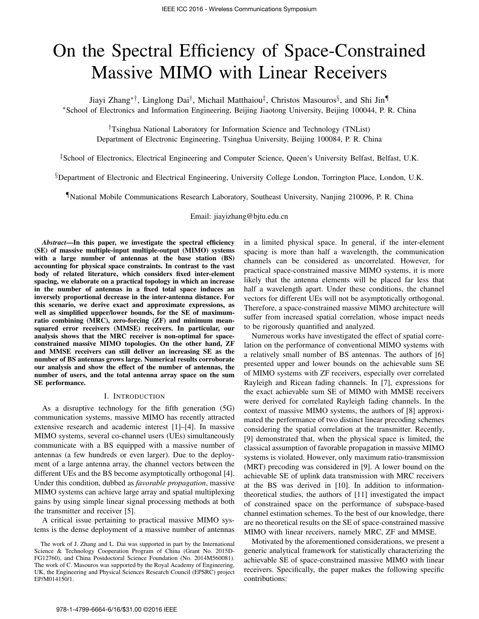# On the Spectral Efficiency of Space-Constrained Massive MIMO with Linear Receivers

Jiayi Zhang*∗†*, Linglong Dai*†* , Michail Matthaiou*‡* , Christos Masouros*§* , and Shi Jin*¶ ∗*School of Electronics and Information Engineering, Beijing Jiaotong University, Beijing 100044, P. R. China

*†*Tsinghua National Laboratory for Information Science and Technology (TNList) Department of Electronic Engineering, Tsinghua University, Beijing 100084, P. R. China

*‡*School of Electronics, Electrical Engineering and Computer Science, Queen's University Belfast, Belfast, U.K.

*§*Department of Electronic and Electrical Engineering, University College London, Torrington Place, London, U.K.

*¶*National Mobile Communications Research Laboratory, Southeast University, Nanjing 210096, P. R. China

Email: jiayizhang@bjtu.edu.cn

*Abstract*—In this paper, we investigate the spectral efficiency (SE) of massive multiple-input multiple-output (MIMO) systems with a large number of antennas at the base station (BS) accounting for physical space constraints. In contrast to the vast body of related literature, which considers fixed inter-element spacing, we elaborate on a practical topology in which an increase in the number of antennas in a fixed total space induces an inversely proportional decrease in the inter-antenna distance. For this scenario, we derive exact and approximate expressions, as well as simplified upper/lower bounds, for the SE of maximumratio combining (MRC), zero-forcing (ZF) and minimum meansquared error receivers (MMSE) receivers. In particular, our analysis shows that the MRC receiver is non-optimal for spaceconstrained massive MIMO topologies. On the other hand, ZF and MMSE receivers can still deliver an increasing SE as the number of BS antennas grows large. Numerical results corroborate our analysis and show the effect of the number of antennas, the number of users, and the total antenna array space on the sum SE performance.

#### I. INTRODUCTION

As a disruptive technology for the fifth generation (5G) communication systems, massive MIMO has recently attracted extensive research and academic interest [1]–[4]. In massive MIMO systems, several co-channel users (UEs) simultaneously communicate with a BS equipped with a massive number of antennas (a few hundreds or even larger). Due to the deployment of a large antenna array, the channel vectors between the different UEs and the BS become asymptotically orthogonal [4]. Under this condition, dubbed as *favorable propagation*, massive MIMO systems can achieve large array and spatial multiplexing gains by using simple linear signal processing methods at both the transmitter and receiver [5].

A critical issue pertaining to practical massive MIMO systems is the dense deployment of a massive number of antennas in a limited physical space. In general, if the inter-element spacing is more than half a wavelength, the communication channels can be considered as uncorrelated. However, for practical space-constrained massive MIMO systems, it is more likely that the antenna elements will be placed far less that half a wavelength apart. Under these conditions, the channel vectors for different UEs will not be asymptotically orthogonal. Therefore, a space-constrained massive MIMO architecture will suffer from increased spatial correlation, whose impact needs to be rigorously quantified and analyzed.

Numerous works have investigated the effect of spatial correlation on the performance of conventional MIMO systems with a relatively small number of BS antennas. The authors of [6] presented upper and lower bounds on the achievable sum SE of MIMO systems with ZF receivers, especially over correlated Rayleigh and Ricean fading channels. In [7], expressions for the exact achievable sum SE of MIMO with MMSE receivers were derived for correlated Rayleigh fading channels. In the context of massive MIMO systems, the authors of [8] approximated the performance of two distinct linear precoding schemes considering the spatial correlation at the transmitter. Recently, [9] demonstrated that, when the physical space is limited, the classical assumption of favorable propagation in massive MIMO systems is violated. However, only maximum ratio-transmission (MRT) precoding was considered in [9]. A lower bound on the achievable SE of uplink data transmission with MRC receivers at the BS was derived in [10]. In addition to informationtheoretical studies, the authors of [11] investigated the impact of constrained space on the performance of subspace-based channel estimation schemes. To the best of our knowledge, there are no theoretical results on the SE of space-constrained massive MIMO with linear receivers, namely MRC, ZF and MMSE.

Motivated by the aforementioned considerations, we present a generic analytical framework for statistically characterizing the achievable SE of space-constrained massive MIMO with linear receivers. Specifically, the paper makes the following specific contributions:

The work of J. Zhang and L. Dai was supported in part by the International Science & Technology Cooperation Program of China (Grant No. 2015D-FG12760), and China Postdoctoral Science Foundation (No. 2014M560081). The work of C. Masouros was supported by the Royal Academy of Engineering, UK, the Engineering and Physical Sciences Research Council (EPSRC) project EP/M014150/1.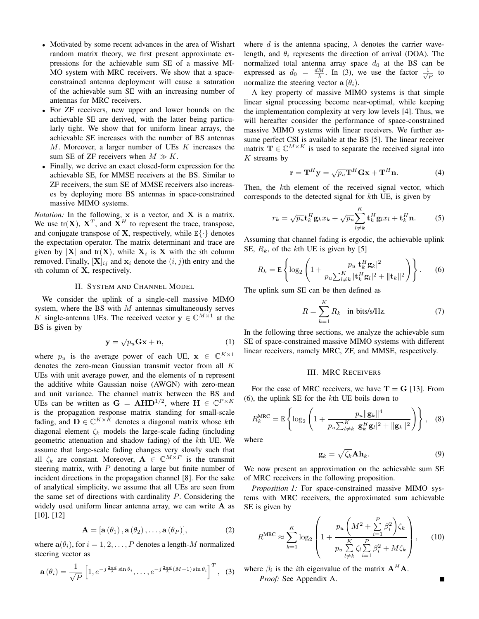- Motivated by some recent advances in the area of Wishart random matrix theory, we first present approximate expressions for the achievable sum SE of a massive MI-MO system with MRC receivers. We show that a spaceconstrained antenna deployment will cause a saturation of the achievable sum SE with an increasing number of antennas for MRC receivers.
- *•* For ZF receivers, new upper and lower bounds on the achievable SE are derived, with the latter being particularly tight. We show that for uniform linear arrays, the achievable SE increases with the number of BS antennas *M*. Moreover, a larger number of UEs *K* increases the sum SE of ZF receivers when  $M \gg K$ .
- *•* Finally, we derive an exact closed-form expression for the achievable SE, for MMSE receivers at the BS. Similar to ZF receivers, the sum SE of MMSE receivers also increases by deploying more BS antennas in space-constrained massive MIMO systems.

*Notation:* In the following, **x** is a vector, and **X** is a matrix. We use  $tr(X)$ ,  $X^T$ , and  $X^H$  to represent the trace, transpose, and conjugate transpose of **X**, respectively, while  $E\{\cdot\}$  denotes the expectation operator. The matrix determinant and trace are given by  $|X|$  and  $tr(X)$ , while  $X_i$  is X with the *i*th column removed. Finally,  $[\mathbf{X}]_{ij}$  and  $\mathbf{x}_i$  denote the  $(i, j)$ th entry and the *i*th column of **X**, respectively.

#### II. SYSTEM AND CHANNEL MODEL

We consider the uplink of a single-cell massive MIMO system, where the BS with *M* antennas simultaneously serves *K* single-antenna UEs. The received vector  $y \in \mathbb{C}^{M \times 1}$  at the BS is given by

$$
\mathbf{y} = \sqrt{p_u} \mathbf{Gx} + \mathbf{n},\tag{1}
$$

where  $p_u$  is the average power of each UE,  $\mathbf{x} \in \mathbb{C}^{K \times 1}$ denotes the zero-mean Gaussian transmit vector from all *K* UEs with unit average power, and the elements of **n** represent the additive white Gaussian noise (AWGN) with zero-mean and unit variance. The channel matrix between the BS and UEs can be written as  $G = AHD^{1/2}$ , where  $H \in \mathbb{C}^{P \times K}$ is the propagation response matrix standing for small-scale fading, and  $D \in \mathbb{C}^{K \times K}$  denotes a diagonal matrix whose *k*th diagonal element  $\zeta_k$  models the large-scale fading (including geometric attenuation and shadow fading) of the *k*th UE. We assume that large-scale fading changes very slowly such that all  $\zeta_k$  are constant. Moreover,  $A \in \mathbb{C}^{M \times P}$  is the transmit steering matrix, with *P* denoting a large but finite number of incident directions in the propagation channel [8]. For the sake of analytical simplicity, we assume that all UEs are seen from the same set of directions with cardinality *P*. Considering the widely used uniform linear antenna array, we can write **A** as [10], [12]

$$
\mathbf{A} = [\mathbf{a}(\theta_1), \mathbf{a}(\theta_2), \dots, \mathbf{a}(\theta_P)], \tag{2}
$$

where  $\mathbf{a}(\theta_i)$ , for  $i = 1, 2, \dots, P$  denotes a length-*M* normalized steering vector as

$$
\mathbf{a}(\theta_i) = \frac{1}{\sqrt{P}} \left[ 1, e^{-j\frac{2\pi d}{\lambda}\sin\theta_i}, \dots, e^{-j\frac{2\pi d}{\lambda}(M-1)\sin\theta_i} \right]^T, \quad (3)
$$

where *d* is the antenna spacing,  $\lambda$  denotes the carrier wavelength, and  $\theta_i$  represents the direction of arrival (DOA). The normalized total antenna array space  $d_0$  at the BS can be expressed as  $d_0 = \frac{dM}{\lambda}$ . In (3), we use the factor  $\frac{1}{\sqrt{2}}$  $\frac{L}{P}$  to normalize the steering vector  $\mathbf{a}(\theta_i)$ .

A key property of massive MIMO systems is that simple linear signal processing become near-optimal, while keeping the implementation complexity at very low levels [4]. Thus, we will hereafter consider the performance of space-constrained massive MIMO systems with linear receivers. We further assume perfect CSI is available at the BS [5]. The linear receiver matrix  $\mathbf{T} \in \mathbb{C}^{M \times K}$  is used to separate the received signal into *K* streams by

$$
\mathbf{r} = \mathbf{T}^{H}\mathbf{y} = \sqrt{p_{u}}\mathbf{T}^{H}\mathbf{G}\mathbf{x} + \mathbf{T}^{H}\mathbf{n}.
$$
 (4)

Then, the *k*th element of the received signal vector, which corresponds to the detected signal for *k*th UE, is given by

$$
r_k = \sqrt{p_u} \mathbf{t}_k^H \mathbf{g}_k x_k + \sqrt{p_u} \sum_{l \neq k}^K \mathbf{t}_k^H \mathbf{g}_l x_l + \mathbf{t}_k^H \mathbf{n}.
$$
 (5)

Assuming that channel fading is ergodic, the achievable uplink SE, *Rk*, of the *k*th UE is given by [5]

$$
R_k = \mathbf{E} \left\{ \log_2 \left( 1 + \frac{p_u |\mathbf{t}_k^H \mathbf{g}_k|^2}{p_u \sum_{l \neq k}^K |\mathbf{t}_k^H \mathbf{g}_l|^2 + ||\mathbf{t}_k||^2} \right) \right\}.
$$
 (6)

The uplink sum SE can be then defined as

$$
R = \sum_{k=1}^{K} R_k \quad \text{in bits/s/Hz.} \tag{7}
$$

In the following three sections, we analyze the achievable sum SE of space-constrained massive MIMO systems with different linear receivers, namely MRC, ZF, and MMSE, respectively.

#### III. MRC RECEIVERS

For the case of MRC receivers, we have  $T = G$  [13]. From (6), the uplink SE for the *k*th UE boils down to

$$
R_k^{\text{MRC}} = \mathbf{E} \left\{ \log_2 \left( 1 + \frac{p_u \| \mathbf{g}_k \|^4}{p_u \sum_{l \neq k}^K |\mathbf{g}_k^H \mathbf{g}_l|^2 + \| \mathbf{g}_k \|^2} \right) \right\}, \quad (8)
$$
 here

w

$$
\mathbf{g}_k = \sqrt{\zeta_k} \mathbf{A} \mathbf{h}_k. \tag{9}
$$

We now present an approximation on the achievable sum SE of MRC receivers in the following proposition.

*Proposition 1:* For space-constrained massive MIMO systems with MRC receivers, the approximated sum achievable SE is given by

$$
R^{\text{MRC}} \approx \sum_{k=1}^{K} \log_2 \left( 1 + \frac{p_u \left( M^2 + \sum_{i=1}^{P} \beta_i^2 \right) \zeta_k}{p_u \sum_{l \neq k}^{K} \zeta_l \sum_{i=1}^{P} \beta_i^2 + M \zeta_k} \right), \quad (10)
$$

where  $\beta_i$  is the *i*th eigenvalue of the matrix  $A^H A$ . *Proof:* See Appendix A.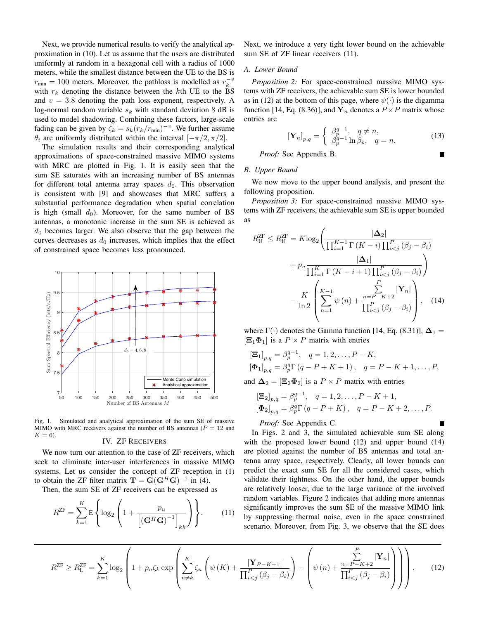Next, we provide numerical results to verify the analytical approximation in (10). Let us assume that the users are distributed uniformly at random in a hexagonal cell with a radius of 1000 meters, while the smallest distance between the UE to the BS is  $r_{\text{min}} = 100$  meters. Moreover, the pathloss is modelled as  $r_k^{-\nu}$ with  $r_k$  denoting the distance between the  $k$ th UE to the BS and  $v = 3.8$  denoting the path loss exponent, respectively. A log-normal random variable  $s_k$  with standard deviation 8 dB is used to model shadowing. Combining these factors, large-scale fading can be given by  $\zeta_k = s_k (r_k/r_{\text{min}})^{-v}$ . We further assume *θ*<sup>*i*</sup> are uniformly distributed within the interval  $[-\pi/2, \pi/2]$ .

The simulation results and their corresponding analytical approximations of space-constrained massive MIMO systems with MRC are plotted in Fig. 1. It is easily seen that the sum SE saturates with an increasing number of BS antennas for different total antenna array spaces  $d_0$ . This observation is consistent with [9] and showcases that MRC suffers a substantial performance degradation when spatial correlation is high (small  $d_0$ ). Moreover, for the same number of BS antennas, a monotonic increase in the sum SE is achieved as *d*<sup>0</sup> becomes larger. We also observe that the gap between the curves decreases as  $d_0$  increases, which implies that the effect of constrained space becomes less pronounced.



Fig. 1. Simulated and analytical approximation of the sum SE of massive MIMO with MRC receivers against the number of BS antennas ( $P = 12$  and  $K = 6$ ).

### IV. ZF RECEIVERS

We now turn our attention to the case of ZF receivers, which seek to eliminate inter-user interferences in massive MIMO systems. Let us consider the concept of ZF reception in (1) to obtain the ZF filter matrix  $\mathbf{T} = \mathbf{G}(\mathbf{G}^H\mathbf{G})^{-1}$  in (4).

Then, the sum SE of ZF receivers can be expressed as

$$
R^{\mathrm{ZF}} = \sum_{k=1}^{K} \mathrm{E} \left\{ \log_2 \left( 1 + \frac{p_u}{\left[ \left( \mathbf{G}^H \mathbf{G} \right)^{-1} \right]_{kk}} \right) \right\}.
$$
 (11)

Next, we introduce a very tight lower bound on the achievable sum SE of ZF linear receivers  $(11)$ .

#### *A. Lower Bound*

*Proposition 2:* For space-constrained massive MIMO systems with ZF receivers, the achievable sum SE is lower bounded as in (12) at the bottom of this page, where  $\psi(\cdot)$  is the digamma function [14, Eq. (8.36)], and  $Y_n$  denotes a  $P \times P$  matrix whose entries are

$$
[\mathbf{Y}_n]_{p,q} = \begin{cases} \beta_p^{q-1}, & q \neq n, \\ \beta_p^{q-1} \ln \beta_p, & q = n. \end{cases}
$$
 (13)

*Proof:* See Appendix B.

#### *B. Upper Bound*

We now move to the upper bound analysis, and present the following proposition.

*Proposition 3:* For space-constrained massive MIMO systems with ZF receivers, the achievable sum SE is upper bounded as

$$
R_{\mathrm{U}}^{\mathrm{ZF}} \leq R_{\mathrm{U}}^{\mathrm{ZF}} = K \log_2 \left( \frac{|\Delta_2|}{\prod_{i=1}^{K-1} \Gamma\left(K-i\right) \prod_{i < j}^{P} \left(\beta_j - \beta_i\right)} + p_u \frac{|\Delta_1|}{\prod_{i=1}^{K} \Gamma\left(K-i+1\right) \prod_{i < j}^{P} \left(\beta_j - \beta_i\right)} \right) - \frac{K}{\ln 2} \left( \sum_{n=1}^{K-1} \psi\left(n\right) + \frac{n = P - K + 2}{\prod_{i < j}^{P} \left(\beta_j - \beta_i\right)} \right), \quad (14)
$$

where  $\Gamma(\cdot)$  denotes the Gamma function [14, Eq. (8.31)],  $\Delta_1$  =  $[\Xi_1 \Phi_1]$  is a  $P \times P$  matrix with entries

$$
\begin{aligned} \left[\Xi_1\right]_{p,q} &= \beta_p^{q-1}, \quad q = 1, 2, \dots, P - K, \\ \left[\Phi_1\right]_{p,q} &= \beta_p^q \Gamma\left(q - P + K + 1\right), \quad q = P - K + 1, \dots, P, \end{aligned}
$$

and  $\Delta_2 = [\Xi_2 \Phi_2]$  is a  $P \times P$  matrix with entries

$$
\begin{aligned} \left[\Xi_2\right]_{p,q} &= \beta_p^{q-1}, \quad q = 1, 2, \dots, P - K + 1, \\ \left[\Phi_2\right]_{p,q} &= \beta_p^q \Gamma\left(q - P + K\right), \quad q = P - K + 2, \dots, P. \end{aligned}
$$

## *Proof:* See Appendix C.

In Figs. 2 and 3, the simulated achievable sum SE along with the proposed lower bound (12) and upper bound (14) are plotted against the number of BS antennas and total antenna array space, respectively. Clearly, all lower bounds can predict the exact sum SE for all the considered cases, which validate their tightness. On the other hand, the upper bounds are relatively looser, due to the large variance of the involved random variables. Figure 2 indicates that adding more antennas significantly improves the sum SE of the massive MIMO link by suppressing thermal noise, even in the space constrained scenario. Moreover, from Fig. 3, we observe that the SE does

$$
R^{ZF} \ge R^{ZF}_{\mathsf{L}} = \sum_{k=1}^K \log_2 \left( 1 + p_u \zeta_k \exp \left( \sum_{n \neq k}^K \zeta_n \left( \psi(K) + \frac{|\mathbf{Y}_{P-K+1}|}{\prod_{i < j}^P (\beta_j - \beta_i)} \right) - \left( \psi(n) + \frac{\sum_{n=P-K+2}^P |\mathbf{Y}_n|}{\prod_{i < j}^P (\beta_j - \beta_i)} \right) \right) \right), \tag{12}
$$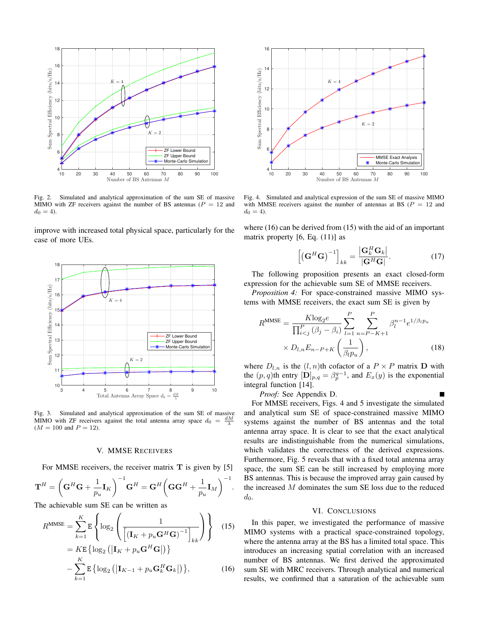

Fig. 2. Simulated and analytical approximation of the sum SE of massive MIMO with ZF receivers against the number of BS antennas ( $P = 12$  and  $d_0 = 4$ .

improve with increased total physical space, particularly for the case of more UEs.



Fig. 3. Simulated and analytical approximation of the sum SE of massive MIMO with ZF receivers against the total antenna array space  $d_0 = \frac{dM}{\lambda}$  $(M = 100$  and  $P = 12$ ).

#### V. MMSE RECEIVERS

For MMSE receivers, the receiver matrix **T** is given by [5]

$$
\mathbf{T}^H = \bigg(\mathbf{G}^H\mathbf{G} + \frac{1}{p_u}\mathbf{I}_K\bigg)^{-1}\mathbf{G}^H = \mathbf{G}^H \bigg(\mathbf{G}\mathbf{G}^H + \frac{1}{p_u}\mathbf{I}_M\bigg)^{-1}.
$$

The achievable sum SE can be written as

$$
R^{\text{MMSE}} = \sum_{k=1}^{K} \mathbf{E} \left\{ \log_2 \left( \frac{1}{\left[ (\mathbf{I}_K + p_u \mathbf{G}^H \mathbf{G})^{-1} \right]_{kk}} \right) \right\} \quad (15)
$$
  
=  $K \mathbf{E} \left\{ \log_2 \left( |\mathbf{I}_K + p_u \mathbf{G}^H \mathbf{G}| \right) \right\}$   
-  $\sum_{k=1}^{K} \mathbf{E} \left\{ \log_2 \left( |\mathbf{I}_{K-1} + p_u \mathbf{G}_k^H \mathbf{G}_k| \right) \right\}, \quad (16)$ 



Fig. 4. Simulated and analytical expression of the sum SE of massive MIMO with MMSE receivers against the number of antennas at BS ( $P = 12$  and  $d_0 = 4$ .

where (16) can be derived from (15) with the aid of an important matrix property  $[6, Eq. (11)]$  as

$$
\left[ \left( \mathbf{G}^H \mathbf{G} \right)^{-1} \right]_{kk} = \frac{\left| \mathbf{G}_k^H \mathbf{G}_k \right|}{\left| \mathbf{G}^H \mathbf{G} \right|}. \tag{17}
$$

The following proposition presents an exact closed-form expression for the achievable sum SE of MMSE receivers.

*Proposition 4:* For space-constrained massive MIMO systems with MMSE receivers, the exact sum SE is given by

$$
R^{\text{MMSE}} = \frac{K \log_2 e}{\prod_{i < j}^P (\beta_j - \beta_i)} \sum_{l=1}^P \sum_{n=P-K+1}^P \beta_l^{n-1} e^{1/\beta_l p_u} \times D_{l,n} E_{n-P+K} \left(\frac{1}{\beta_l p_u}\right),\tag{18}
$$

where  $D_{l,n}$  is the  $(l,n)$ <sup>th</sup> cofactor of a  $P \times P$  matrix **D** with the  $(p, q)$ th entry  $[\mathbf{D}]_{p,q} = \beta_p^{q-1}$ , and  $E_x(y)$  is the exponential integral function [14].

*Proof:* See Appendix D.

For MMSE receivers, Figs. 4 and 5 investigate the simulated and analytical sum SE of space-constrained massive MIMO systems against the number of BS antennas and the total antenna array space. It is clear to see that the exact analytical results are indistinguishable from the numerical simulations, which validates the correctness of the derived expressions. Furthermore, Fig. 5 reveals that with a fixed total antenna array space, the sum SE can be still increased by employing more BS antennas. This is because the improved array gain caused by the increased *M* dominates the sum SE loss due to the reduced  $d_0$ .

## VI. CONCLUSIONS

In this paper, we investigated the performance of massive MIMO systems with a practical space-constrained topology, where the antenna array at the BS has a limited total space. This introduces an increasing spatial correlation with an increased number of BS antennas. We first derived the approximated sum SE with MRC receivers. Through analytical and numerical results, we confirmed that a saturation of the achievable sum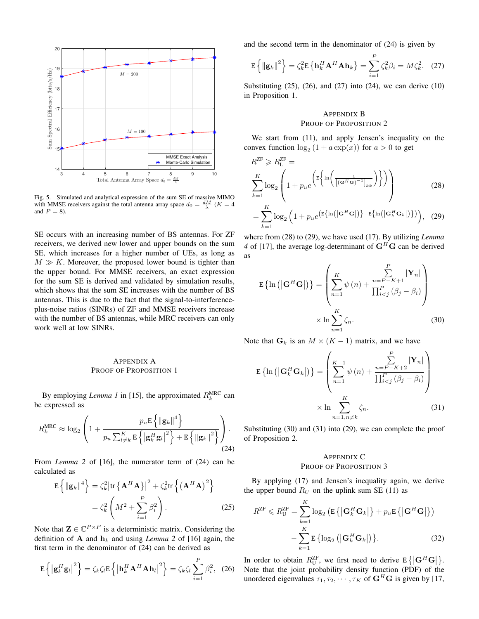

Fig. 5. Simulated and analytical expression of the sum SE of massive MIMO with MMSE receivers against the total antenna array space  $d_0 = \frac{dM}{\lambda}$  ( $K = 4$ ) and  $P = 8$ ).

SE occurs with an increasing number of BS antennas. For ZF receivers, we derived new lower and upper bounds on the sum SE, which increases for a higher number of UEs, as long as  $M \gg K$ . Moreover, the proposed lower bound is tighter than the upper bound. For MMSE receivers, an exact expression for the sum SE is derived and validated by simulation results, which shows that the sum SE increases with the number of BS antennas. This is due to the fact that the signal-to-interferenceplus-noise ratios (SINRs) of ZF and MMSE receivers increase with the number of BS antennas, while MRC receivers can only work well at low SINRs.

## APPENDIX A PROOF OF PROPOSITION 1

By employing *Lemma 1* in [15], the approximated  $R_k^{\text{MRC}}$  can be expressed as

$$
R_k^{\text{MRC}} \approx \log_2 \left( 1 + \frac{p_u \mathbf{E} \left\{ \left\| \mathbf{g}_k \right\|^4 \right\}}{p_u \sum_{l \neq k}^K \mathbf{E} \left\{ \left| \mathbf{g}_k^H \mathbf{g}_l \right|^2 \right\} + \mathbf{E} \left\{ \left\| \mathbf{g}_k \right\|^2 \right\}} \right). \tag{24}
$$

From *Lemma* 2 of [16], the numerator term of (24) can be calculated as

$$
\mathbf{E}\left\{\|\mathbf{g}_k\|^4\right\} = \zeta_k^2 \left|\text{tr}\left\{\mathbf{A}^H \mathbf{A}\right\}\right|^2 + \zeta_k^2 \text{tr}\left\{\left(\mathbf{A}^H \mathbf{A}\right)^2\right\}
$$

$$
= \zeta_k^2 \left(M^2 + \sum_{i=1}^P \beta_i^2\right). \tag{25}
$$

Note that  $\mathbf{Z} \in \mathbb{C}^{P \times P}$  is a deterministic matrix. Considering the definition of **A** and  $h_k$  and using *Lemma* 2 of [16] again, the first term in the denominator of (24) can be derived as

$$
\mathbf{E}\left\{\left|\mathbf{g}_{k}^{H}\mathbf{g}_{l}\right|^{2}\right\}=\zeta_{k}\zeta_{l}\mathbf{E}\left\{\left|\mathbf{h}_{k}^{H}\mathbf{A}^{H}\mathbf{A}\mathbf{h}_{l}\right|^{2}\right\}=\zeta_{k}\zeta_{l}\sum_{i=1}^{P}\beta_{i}^{2},\quad(26)
$$

and the second term in the denominator of (24) is given by

$$
\mathbf{E}\left\{\left\|\mathbf{g}_k\right\|^2\right\} = \zeta_k^2 \mathbf{E}\left\{\mathbf{h}_k^H \mathbf{A}^H \mathbf{A} \mathbf{h}_k\right\} = \sum_{i=1}^P \zeta_k^2 \beta_i = M \zeta_k^2. \quad (27)
$$

Substituting  $(25)$ ,  $(26)$ , and  $(27)$  into  $(24)$ , we can derive  $(10)$ in Proposition 1.

# APPENDIX B PROOF OF PROPOSITION 2

We start from (11), and apply Jensen's inequality on the convex function  $\log_2(1 + a \exp(x))$  for  $a > 0$  to get

$$
R^{ZF} \geqslant R^{ZF}_{\mathsf{L}} = \sum_{k=1}^{K} \log_2 \left( 1 + p_u e^{\left( \mathbb{E} \left\{ \ln \left( \frac{1}{\left[ (\mathbf{G}^H \mathbf{G})^{-1} \right]_{kk}} \right) \right\} \right)} \right)
$$
\n
$$
= \sum_{k=1}^{K} \log_2 \left( 1 + p_u e^{\left( \mathbb{E} \left\{ \ln \left( |\mathbf{G}^H \mathbf{G}| \right) \right\} - \mathbb{E} \left\{ \ln \left( |\mathbf{G}_k^H \mathbf{G}_k| \right) \right\} \right)} \right), \quad (29)
$$

where from (28) to (29), we have used (17). By utilizing *Lemma 4* of [17], the average log-determinant of  $G^H G$  can be derived as

$$
\mathbf{E} \left\{ \ln \left( \left| \mathbf{G}^H \mathbf{G} \right| \right) \right\} = \left( \sum_{n=1}^K \psi(n) + \frac{\sum_{n=P-K+1}^P |\mathbf{Y}_n|}{\prod_{i < j}^P (\beta_j - \beta_i)} \right) \times \ln \sum_{n=1}^K \zeta_n. \tag{30}
$$

Note that  $G_k$  is an  $M \times (K - 1)$  matrix, and we have

$$
\mathbf{E}\left\{\ln\left(\left|\mathbf{G}_{k}^{H}\mathbf{G}_{k}\right|\right)\right\} = \left(\sum_{n=1}^{K-1} \psi\left(n\right) + \frac{\sum_{n=P-K+2}^{P} |\mathbf{Y}_{n}|}{\prod_{i\n(31)
$$

Substituting (30) and (31) into (29), we can complete the proof of Proposition 2.

## APPENDIX C PROOF OF PROPOSITION 3

By applying (17) and Jensen's inequality again, we derive the upper bound  $R_U$  on the uplink sum SE (11) as

$$
R^{ZF} \leq R_U^{ZF} = \sum_{k=1}^{K} \log_2 \left( \mathbb{E} \{ \left| \mathbf{G}_k^H \mathbf{G}_k \right| \} + p_u \mathbb{E} \{ \left| \mathbf{G}^H \mathbf{G} \right| \} \right)
$$

$$
- \sum_{k=1}^{K} \mathbb{E} \{ \log_2 \left( \left| \mathbf{G}_k^H \mathbf{G}_k \right| \right) \}. \tag{32}
$$

In order to obtain  $R_{\text{U}}^{\text{ZF}}$ , we first need to derive  $E\{|\mathbf{G}^H\mathbf{G}|\}$ . In order to obtain  $\pi_U$ , we first need to derive  $E[\mathbf{G} \ \mathbf{G}]$ .<br>Note that the joint probability density function (PDF) of the unordered eigenvalues  $\tau_1, \tau_2, \cdots, \tau_K$  of  $\mathbf{G}^H\mathbf{G}$  is given by [17,